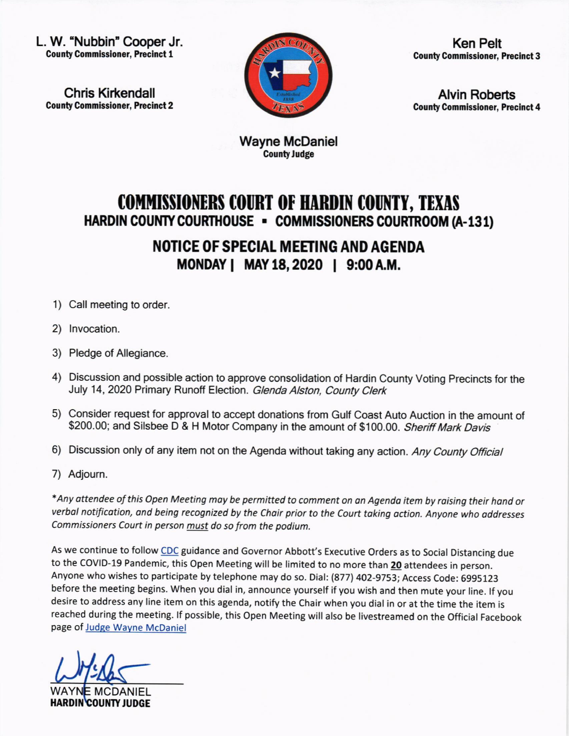L. W. "Nubbin' Cooper Jr. **County Commissioner, Precinct 1** 

Chris Kirkendall County Commissioner, Precinct 2



Ken Pelt **County Commissioner, Precinct 3** 

Alvin Roberts **County Commissioner, Precinct 4** 

Wayne McDaniel **County Judge** 

## COMMISSIONERS COURT OF HARDIN COUNTY, TEXAS HARDIN COUNTY COURTHOUSE - COMMISSIONERS COURTROOM (A-131)

NOTICE OF SPECIAL MEETING AND AGENDA MONDAY | MAY 18, 2020 | 9:00 A.M.

- 1) Call meeting to order.
- 2) lnvocation.
- 3) Pledge of Allegiance.
- 4) Discussion and possible action to approve consolidation of Hardin County Voting Precincts for the July 14, 2020 Primary Runoff Election. Glenda Alston, County Clerk
- 5) Consider request for approval to accept donations from Gulf Coast Auto Auction in the amount of \$200.00; and Silsbee D & H Motor Company in the amount of \$100.00. Sheriff Mark Davis
- 6) Discussion only of any item not on the Agenda without taking any action. Any County Official
- 7) Adjoum.

\*Any ottendee of this Open Meeting moy be permitted to comment on on Agendo item by roising their hond or verbol notificotion, ond being recognized by the Choir prior to the Court toking oction. Anyone who oddresses Commissioners Court in person must do so from the podium.

As we continue to follow CDC guidance and Governor Abbott's Executive Orders as to Social Distancing due to the COVID-19 Pandemic, this Open Meeting will be limited to no more than 20 attendees in person. Anyone who wishes to participate by telephone may do so. Dial: (877) 402-9753; Access Code: 6995123 before the meeting begins. When you dial in, announce yourself if you wish and then mute your line. lf you desire to address any line item on this agenda, notify the Chair when you dial in or at the time the item is reached during the meeting. lf possible, this Open Meeting will also be livestreamed on the Official Facebook page of Judge Wayne McDaniel

C

WAYN<mark>E MCDANIEL</mark> HARDIN COUNTY